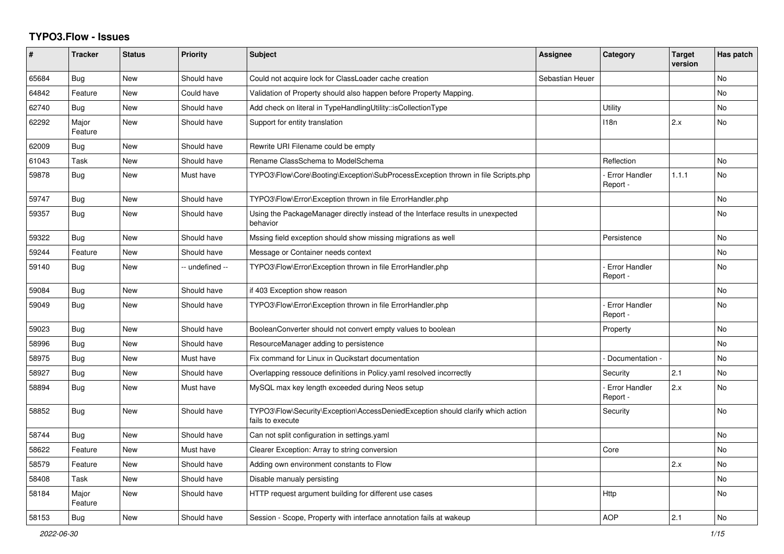## **TYPO3.Flow - Issues**

| #     | <b>Tracker</b>   | <b>Status</b> | <b>Priority</b> | <b>Subject</b>                                                                                      | Assignee        | <b>Category</b>                  | <b>Target</b><br>version | Has patch      |
|-------|------------------|---------------|-----------------|-----------------------------------------------------------------------------------------------------|-----------------|----------------------------------|--------------------------|----------------|
| 65684 | Bug              | <b>New</b>    | Should have     | Could not acquire lock for ClassLoader cache creation                                               | Sebastian Heuer |                                  |                          | <b>No</b>      |
| 64842 | Feature          | <b>New</b>    | Could have      | Validation of Property should also happen before Property Mapping.                                  |                 |                                  |                          | N <sub>o</sub> |
| 62740 | <b>Bug</b>       | <b>New</b>    | Should have     | Add check on literal in TypeHandlingUtility::isCollectionType                                       |                 | Utility                          |                          | <b>No</b>      |
| 62292 | Major<br>Feature | <b>New</b>    | Should have     | Support for entity translation                                                                      |                 | 118n                             | 2.x                      | N <sub>o</sub> |
| 62009 | <b>Bug</b>       | <b>New</b>    | Should have     | Rewrite URI Filename could be empty                                                                 |                 |                                  |                          |                |
| 61043 | Task             | <b>New</b>    | Should have     | Rename ClassSchema to ModelSchema                                                                   |                 | Reflection                       |                          | No             |
| 59878 | <b>Bug</b>       | <b>New</b>    | Must have       | TYPO3\Flow\Core\Booting\Exception\SubProcessException thrown in file Scripts.php                    |                 | - Error Handler<br>Report -      | 1.1.1                    | No             |
| 59747 | Bug              | <b>New</b>    | Should have     | TYPO3\Flow\Error\Exception thrown in file ErrorHandler.php                                          |                 |                                  |                          | No             |
| 59357 | Bug              | <b>New</b>    | Should have     | Using the PackageManager directly instead of the Interface results in unexpected<br>behavior        |                 |                                  |                          | N <sub>o</sub> |
| 59322 | Bug              | <b>New</b>    | Should have     | Mssing field exception should show missing migrations as well                                       |                 | Persistence                      |                          | No.            |
| 59244 | Feature          | <b>New</b>    | Should have     | Message or Container needs context                                                                  |                 |                                  |                          | N <sub>o</sub> |
| 59140 | <b>Bug</b>       | <b>New</b>    | -- undefined -- | TYPO3\Flow\Error\Exception thrown in file ErrorHandler.php                                          |                 | <b>Error Handler</b><br>Report - |                          | No             |
| 59084 | Bug              | <b>New</b>    | Should have     | if 403 Exception show reason                                                                        |                 |                                  |                          | No.            |
| 59049 | Bug              | <b>New</b>    | Should have     | TYPO3\Flow\Error\Exception thrown in file ErrorHandler.php                                          |                 | <b>Error Handler</b><br>Report - |                          | No             |
| 59023 | Bug              | <b>New</b>    | Should have     | BooleanConverter should not convert empty values to boolean                                         |                 | Property                         |                          | <b>No</b>      |
| 58996 | Bug              | <b>New</b>    | Should have     | ResourceManager adding to persistence                                                               |                 |                                  |                          | No             |
| 58975 | Bug              | <b>New</b>    | Must have       | Fix command for Linux in Qucikstart documentation                                                   |                 | Documentation -                  |                          | <b>No</b>      |
| 58927 | Bug              | <b>New</b>    | Should have     | Overlapping ressouce definitions in Policy yaml resolved incorrectly                                |                 | Security                         | 2.1                      | N <sub>o</sub> |
| 58894 | <b>Bug</b>       | <b>New</b>    | Must have       | MySQL max key length exceeded during Neos setup                                                     |                 | <b>Error Handler</b><br>Report - | 2.x                      | N <sub>o</sub> |
| 58852 | Bug              | <b>New</b>    | Should have     | TYPO3\Flow\Security\Exception\AccessDeniedException should clarify which action<br>fails to execute |                 | Security                         |                          | No.            |
| 58744 | Bug              | <b>New</b>    | Should have     | Can not split configuration in settings yaml                                                        |                 |                                  |                          | No             |
| 58622 | Feature          | <b>New</b>    | Must have       | Clearer Exception: Array to string conversion                                                       |                 | Core                             |                          | No             |
| 58579 | Feature          | <b>New</b>    | Should have     | Adding own environment constants to Flow                                                            |                 |                                  | 2.x                      | No             |
| 58408 | Task             | <b>New</b>    | Should have     | Disable manualy persisting                                                                          |                 |                                  |                          | N <sub>o</sub> |
| 58184 | Major<br>Feature | <b>New</b>    | Should have     | HTTP request argument building for different use cases                                              |                 | Http                             |                          | N <sub>o</sub> |
| 58153 | <b>Bug</b>       | <b>New</b>    | Should have     | Session - Scope, Property with interface annotation fails at wakeup                                 |                 | <b>AOP</b>                       | 2.1                      | <b>No</b>      |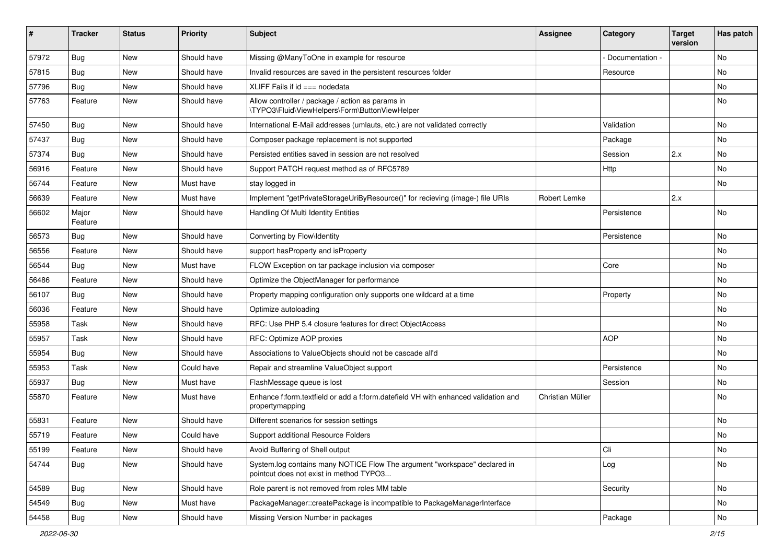| ∦     | <b>Tracker</b>   | <b>Status</b> | <b>Priority</b> | <b>Subject</b>                                                                                                       | <b>Assignee</b>  | Category        | <b>Target</b><br>version | Has patch |
|-------|------------------|---------------|-----------------|----------------------------------------------------------------------------------------------------------------------|------------------|-----------------|--------------------------|-----------|
| 57972 | Bug              | New           | Should have     | Missing @ManyToOne in example for resource                                                                           |                  | Documentation - |                          | <b>No</b> |
| 57815 | <b>Bug</b>       | <b>New</b>    | Should have     | Invalid resources are saved in the persistent resources folder                                                       |                  | Resource        |                          | <b>No</b> |
| 57796 | <b>Bug</b>       | New           | Should have     | XLIFF Fails if $id ==$ nodedata                                                                                      |                  |                 |                          | No        |
| 57763 | Feature          | <b>New</b>    | Should have     | Allow controller / package / action as params in<br>\TYPO3\Fluid\ViewHelpers\Form\ButtonViewHelper                   |                  |                 |                          | No        |
| 57450 | <b>Bug</b>       | <b>New</b>    | Should have     | International E-Mail addresses (umlauts, etc.) are not validated correctly                                           |                  | Validation      |                          | <b>No</b> |
| 57437 | Bug              | New           | Should have     | Composer package replacement is not supported                                                                        |                  | Package         |                          | No        |
| 57374 | <b>Bug</b>       | New           | Should have     | Persisted entities saved in session are not resolved                                                                 |                  | Session         | 2.x                      | No        |
| 56916 | Feature          | New           | Should have     | Support PATCH request method as of RFC5789                                                                           |                  | Http            |                          | No        |
| 56744 | Feature          | <b>New</b>    | Must have       | stay logged in                                                                                                       |                  |                 |                          | No        |
| 56639 | Feature          | New           | Must have       | Implement "getPrivateStorageUriByResource()" for recieving (image-) file URIs                                        | Robert Lemke     |                 | 2.x                      |           |
| 56602 | Major<br>Feature | New           | Should have     | Handling Of Multi Identity Entities                                                                                  |                  | Persistence     |                          | <b>No</b> |
| 56573 | <b>Bug</b>       | <b>New</b>    | Should have     | Converting by Flow\Identity                                                                                          |                  | Persistence     |                          | <b>No</b> |
| 56556 | Feature          | New           | Should have     | support hasProperty and isProperty                                                                                   |                  |                 |                          | No        |
| 56544 | <b>Bug</b>       | <b>New</b>    | Must have       | FLOW Exception on tar package inclusion via composer                                                                 |                  | Core            |                          | <b>No</b> |
| 56486 | Feature          | New           | Should have     | Optimize the ObjectManager for performance                                                                           |                  |                 |                          | No        |
| 56107 | Bug              | <b>New</b>    | Should have     | Property mapping configuration only supports one wildcard at a time                                                  |                  | Property        |                          | No        |
| 56036 | Feature          | New           | Should have     | Optimize autoloading                                                                                                 |                  |                 |                          | No        |
| 55958 | Task             | New           | Should have     | RFC: Use PHP 5.4 closure features for direct ObjectAccess                                                            |                  |                 |                          | No        |
| 55957 | Task             | New           | Should have     | RFC: Optimize AOP proxies                                                                                            |                  | <b>AOP</b>      |                          | No        |
| 55954 | Bug              | New           | Should have     | Associations to ValueObjects should not be cascade all'd                                                             |                  |                 |                          | No        |
| 55953 | Task             | <b>New</b>    | Could have      | Repair and streamline ValueObject support                                                                            |                  | Persistence     |                          | <b>No</b> |
| 55937 | <b>Bug</b>       | New           | Must have       | FlashMessage queue is lost                                                                                           |                  | Session         |                          | No        |
| 55870 | Feature          | New           | Must have       | Enhance f:form.textfield or add a f:form.datefield VH with enhanced validation and<br>propertymapping                | Christian Müller |                 |                          | <b>No</b> |
| 55831 | Feature          | <b>New</b>    | Should have     | Different scenarios for session settings                                                                             |                  |                 |                          | <b>No</b> |
| 55719 | Feature          | New           | Could have      | Support additional Resource Folders                                                                                  |                  |                 |                          | No        |
| 55199 | Feature          | New           | Should have     | Avoid Buffering of Shell output                                                                                      |                  | Cli             |                          | No        |
| 54744 | <b>Bug</b>       | New           | Should have     | System.log contains many NOTICE Flow The argument "workspace" declared in<br>pointcut does not exist in method TYPO3 |                  | Log             |                          | No        |
| 54589 | <b>Bug</b>       | New           | Should have     | Role parent is not removed from roles MM table                                                                       |                  | Security        |                          | No        |
| 54549 | <b>Bug</b>       | New           | Must have       | PackageManager::createPackage is incompatible to PackageManagerInterface                                             |                  |                 |                          | No        |
| 54458 | <b>Bug</b>       | New           | Should have     | Missing Version Number in packages                                                                                   |                  | Package         |                          | No        |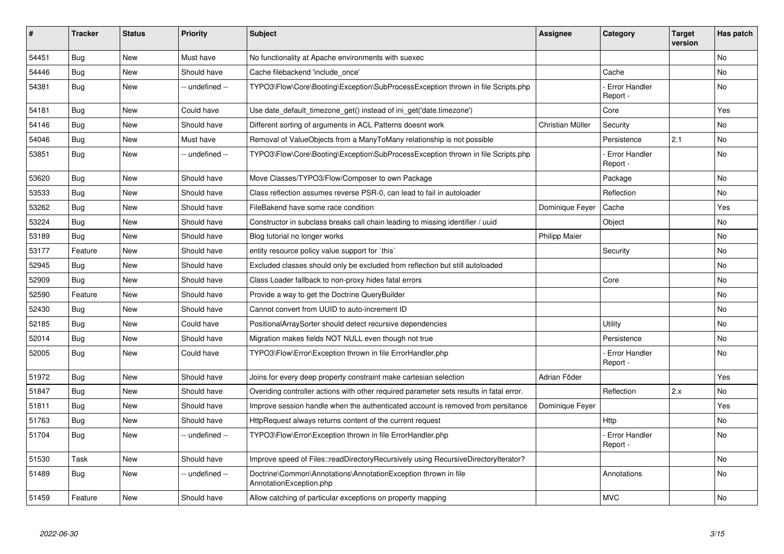| #     | <b>Tracker</b> | <b>Status</b> | <b>Priority</b> | <b>Subject</b>                                                                            | <b>Assignee</b>      | Category                         | Target<br>version | Has patch |
|-------|----------------|---------------|-----------------|-------------------------------------------------------------------------------------------|----------------------|----------------------------------|-------------------|-----------|
| 54451 | <b>Bug</b>     | <b>New</b>    | Must have       | No functionality at Apache environments with suexec                                       |                      |                                  |                   | <b>No</b> |
| 54446 | <b>Bug</b>     | New           | Should have     | Cache filebackend 'include once'                                                          |                      | Cache                            |                   | No        |
| 54381 | <b>Bug</b>     | New           | -- undefined -- | TYPO3\Flow\Core\Booting\Exception\SubProcessException thrown in file Scripts.php          |                      | <b>Error Handler</b><br>Report - |                   | <b>No</b> |
| 54181 | Bug            | <b>New</b>    | Could have      | Use date_default_timezone_get() instead of ini_get('date.timezone')                       |                      | Core                             |                   | Yes       |
| 54146 | Bug            | <b>New</b>    | Should have     | Different sorting of arguments in ACL Patterns doesnt work                                | Christian Müller     | Security                         |                   | No        |
| 54046 | Bug            | <b>New</b>    | Must have       | Removal of ValueObjects from a ManyToMany relationship is not possible                    |                      | Persistence                      | 2.1               | No        |
| 53851 | Bug            | <b>New</b>    | -- undefined -- | TYPO3\Flow\Core\Booting\Exception\SubProcessException thrown in file Scripts.php          |                      | Error Handler<br>Report -        |                   | <b>No</b> |
| 53620 | Bug            | <b>New</b>    | Should have     | Move Classes/TYPO3/Flow/Composer to own Package                                           |                      | Package                          |                   | <b>No</b> |
| 53533 | Bug            | <b>New</b>    | Should have     | Class reflection assumes reverse PSR-0, can lead to fail in autoloader                    |                      | Reflection                       |                   | No        |
| 53262 | Bug            | <b>New</b>    | Should have     | FileBakend have some race condition                                                       | Dominique Feyer      | Cache                            |                   | Yes       |
| 53224 | Bug            | <b>New</b>    | Should have     | Constructor in subclass breaks call chain leading to missing identifier / uuid            |                      | Object                           |                   | No        |
| 53189 | Bug            | <b>New</b>    | Should have     | Blog tutorial no longer works                                                             | <b>Philipp Maier</b> |                                  |                   | <b>No</b> |
| 53177 | Feature        | <b>New</b>    | Should have     | entity resource policy value support for `this`                                           |                      | Security                         |                   | No        |
| 52945 | <b>Bug</b>     | <b>New</b>    | Should have     | Excluded classes should only be excluded from reflection but still autoloaded             |                      |                                  |                   | No        |
| 52909 | Bug            | New           | Should have     | Class Loader fallback to non-proxy hides fatal errors                                     |                      | Core                             |                   | No        |
| 52590 | Feature        | New           | Should have     | Provide a way to get the Doctrine QueryBuilder                                            |                      |                                  |                   | No        |
| 52430 | Bug            | New           | Should have     | Cannot convert from UUID to auto-increment ID                                             |                      |                                  |                   | No        |
| 52185 | <b>Bug</b>     | <b>New</b>    | Could have      | PositionalArraySorter should detect recursive dependencies                                |                      | Utility                          |                   | No        |
| 52014 | <b>Bug</b>     | <b>New</b>    | Should have     | Migration makes fields NOT NULL even though not true                                      |                      | Persistence                      |                   | No        |
| 52005 | Bug            | <b>New</b>    | Could have      | TYPO3\Flow\Error\Exception thrown in file ErrorHandler.php                                |                      | - Error Handler<br>Report -      |                   | <b>No</b> |
| 51972 | Bug            | <b>New</b>    | Should have     | Joins for every deep property constraint make cartesian selection                         | Adrian Föder         |                                  |                   | Yes       |
| 51847 | <b>Bug</b>     | <b>New</b>    | Should have     | Overiding controller actions with other required parameter sets results in fatal error.   |                      | Reflection                       | 2.x               | No        |
| 51811 | Bug            | New           | Should have     | Improve session handle when the authenticated account is removed from persitance          | Dominique Feyer      |                                  |                   | Yes       |
| 51763 | Bug            | <b>New</b>    | Should have     | HttpRequest always returns content of the current request                                 |                      | Http                             |                   | No        |
| 51704 | <b>Bug</b>     | <b>New</b>    | -- undefined -- | TYPO3\Flow\Error\Exception thrown in file ErrorHandler.php                                |                      | - Error Handler<br>Report -      |                   | No        |
| 51530 | Task           | <b>New</b>    | Should have     | Improve speed of Files::readDirectoryRecursively using RecursiveDirectoryIterator?        |                      |                                  |                   | No        |
| 51489 | Bug            | New           | -- undefined -- | Doctrine\Common\Annotations\AnnotationException thrown in file<br>AnnotationException.php |                      | Annotations                      |                   | No        |
| 51459 | Feature        | <b>New</b>    | Should have     | Allow catching of particular exceptions on property mapping                               |                      | <b>MVC</b>                       |                   | No        |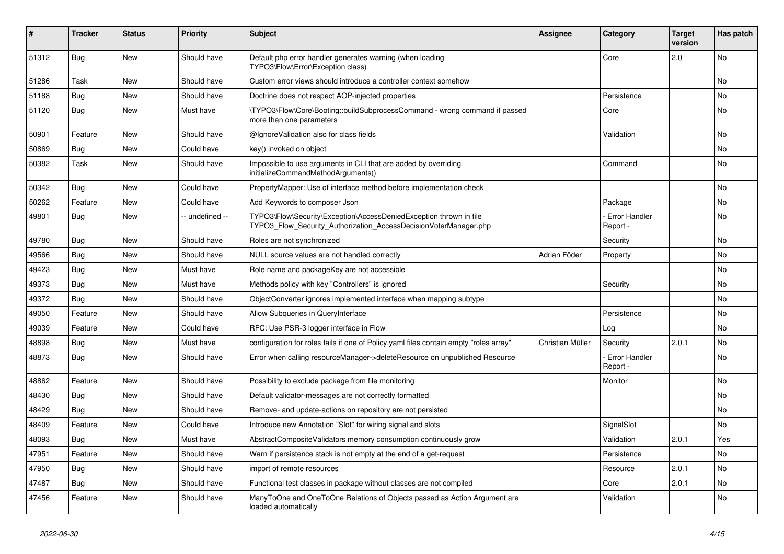| ∦     | <b>Tracker</b> | <b>Status</b> | <b>Priority</b> | <b>Subject</b>                                                                                                                         | <b>Assignee</b>  | Category                         | <b>Target</b><br>version | Has patch |
|-------|----------------|---------------|-----------------|----------------------------------------------------------------------------------------------------------------------------------------|------------------|----------------------------------|--------------------------|-----------|
| 51312 | <b>Bug</b>     | New           | Should have     | Default php error handler generates warning (when loading<br>TYPO3\Flow\Error\Exception class)                                         |                  | Core                             | 2.0                      | <b>No</b> |
| 51286 | Task           | New           | Should have     | Custom error views should introduce a controller context somehow                                                                       |                  |                                  |                          | No        |
| 51188 | <b>Bug</b>     | <b>New</b>    | Should have     | Doctrine does not respect AOP-injected properties                                                                                      |                  | Persistence                      |                          | No        |
| 51120 | <b>Bug</b>     | New           | Must have       | \TYPO3\Flow\Core\Booting::buildSubprocessCommand - wrong command if passed<br>more than one parameters                                 |                  | Core                             |                          | No        |
| 50901 | Feature        | New           | Should have     | @IgnoreValidation also for class fields                                                                                                |                  | Validation                       |                          | No        |
| 50869 | <b>Bug</b>     | New           | Could have      | key() invoked on object                                                                                                                |                  |                                  |                          | No        |
| 50382 | Task           | New           | Should have     | Impossible to use arguments in CLI that are added by overriding<br>initializeCommandMethodArguments()                                  |                  | Command                          |                          | No        |
| 50342 | <b>Bug</b>     | New           | Could have      | PropertyMapper: Use of interface method before implementation check                                                                    |                  |                                  |                          | No        |
| 50262 | Feature        | <b>New</b>    | Could have      | Add Keywords to composer Json                                                                                                          |                  | Package                          |                          | No        |
| 49801 | <b>Bug</b>     | New           | - undefined --  | TYPO3\Flow\Security\Exception\AccessDeniedException thrown in file<br>TYPO3_Flow_Security_Authorization_AccessDecisionVoterManager.php |                  | <b>Error Handler</b><br>Report - |                          | No        |
| 49780 | <b>Bug</b>     | New           | Should have     | Roles are not synchronized                                                                                                             |                  | Security                         |                          | No        |
| 49566 | <b>Bug</b>     | <b>New</b>    | Should have     | NULL source values are not handled correctly                                                                                           | Adrian Föder     | Property                         |                          | No        |
| 49423 | Bug            | New           | Must have       | Role name and packageKey are not accessible                                                                                            |                  |                                  |                          | No        |
| 49373 | <b>Bug</b>     | New           | Must have       | Methods policy with key "Controllers" is ignored                                                                                       |                  | Security                         |                          | No        |
| 49372 | <b>Bug</b>     | New           | Should have     | ObjectConverter ignores implemented interface when mapping subtype                                                                     |                  |                                  |                          | No        |
| 49050 | Feature        | <b>New</b>    | Should have     | Allow Subqueries in QueryInterface                                                                                                     |                  | Persistence                      |                          | No        |
| 49039 | Feature        | New           | Could have      | RFC: Use PSR-3 logger interface in Flow                                                                                                |                  | Log                              |                          | No        |
| 48898 | <b>Bug</b>     | <b>New</b>    | Must have       | configuration for roles fails if one of Policy.yaml files contain empty "roles array"                                                  | Christian Müller | Security                         | 2.0.1                    | <b>No</b> |
| 48873 | <b>Bug</b>     | New           | Should have     | Error when calling resourceManager->deleteResource on unpublished Resource                                                             |                  | - Error Handler<br>Report -      |                          | No        |
| 48862 | Feature        | New           | Should have     | Possibility to exclude package from file monitoring                                                                                    |                  | Monitor                          |                          | No        |
| 48430 | <b>Bug</b>     | <b>New</b>    | Should have     | Default validator-messages are not correctly formatted                                                                                 |                  |                                  |                          | No        |
| 48429 | Bug            | New           | Should have     | Remove- and update-actions on repository are not persisted                                                                             |                  |                                  |                          | No        |
| 48409 | Feature        | New           | Could have      | Introduce new Annotation "Slot" for wiring signal and slots                                                                            |                  | SignalSlot                       |                          | No        |
| 48093 | <b>Bug</b>     | New           | Must have       | AbstractCompositeValidators memory consumption continuously grow                                                                       |                  | Validation                       | 2.0.1                    | Yes       |
| 47951 | Feature        | New           | Should have     | Warn if persistence stack is not empty at the end of a get-request                                                                     |                  | Persistence                      |                          | No        |
| 47950 | <b>Bug</b>     | New           | Should have     | import of remote resources                                                                                                             |                  | Resource                         | 2.0.1                    | No        |
| 47487 | <b>Bug</b>     | New           | Should have     | Functional test classes in package without classes are not compiled                                                                    |                  | Core                             | 2.0.1                    | No        |
| 47456 | Feature        | New           | Should have     | ManyToOne and OneToOne Relations of Objects passed as Action Argument are<br>loaded automatically                                      |                  | Validation                       |                          | No        |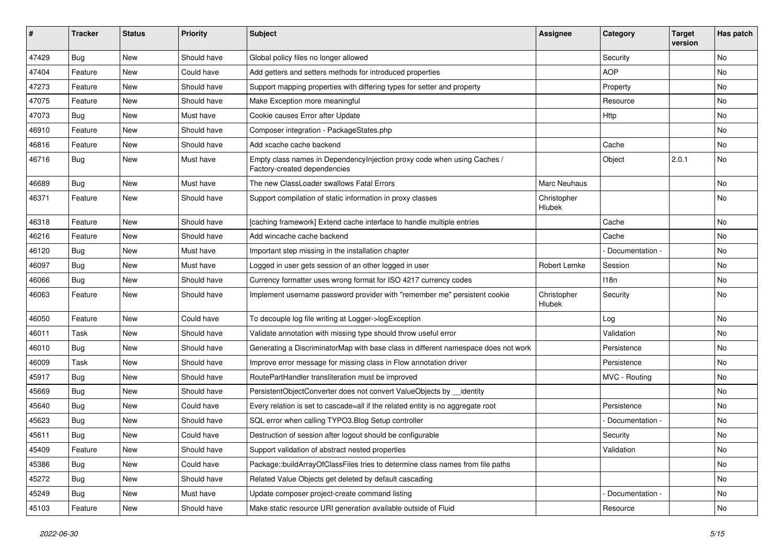| ∦     | <b>Tracker</b> | <b>Status</b> | <b>Priority</b> | <b>Subject</b>                                                                                          | <b>Assignee</b>       | Category          | <b>Target</b><br>version | Has patch |
|-------|----------------|---------------|-----------------|---------------------------------------------------------------------------------------------------------|-----------------------|-------------------|--------------------------|-----------|
| 47429 | Bug            | <b>New</b>    | Should have     | Global policy files no longer allowed                                                                   |                       | Security          |                          | No        |
| 47404 | Feature        | New           | Could have      | Add getters and setters methods for introduced properties                                               |                       | <b>AOP</b>        |                          | No        |
| 47273 | Feature        | New           | Should have     | Support mapping properties with differing types for setter and property                                 |                       | Property          |                          | No        |
| 47075 | Feature        | New           | Should have     | Make Exception more meaningful                                                                          |                       | Resource          |                          | No        |
| 47073 | Bug            | New           | Must have       | Cookie causes Error after Update                                                                        |                       | Http              |                          | No        |
| 46910 | Feature        | <b>New</b>    | Should have     | Composer integration - PackageStates.php                                                                |                       |                   |                          | No        |
| 46816 | Feature        | New           | Should have     | Add xcache cache backend                                                                                |                       | Cache             |                          | No        |
| 46716 | <b>Bug</b>     | New           | Must have       | Empty class names in Dependencylnjection proxy code when using Caches /<br>Factory-created dependencies |                       | Object            | 2.0.1                    | No        |
| 46689 | Bug            | <b>New</b>    | Must have       | The new ClassLoader swallows Fatal Errors                                                               | Marc Neuhaus          |                   |                          | No        |
| 46371 | Feature        | New           | Should have     | Support compilation of static information in proxy classes                                              | Christopher<br>Hlubek |                   |                          | No        |
| 46318 | Feature        | <b>New</b>    | Should have     | [caching framework] Extend cache interface to handle multiple entries                                   |                       | Cache             |                          | No        |
| 46216 | Feature        | <b>New</b>    | Should have     | Add wincache cache backend                                                                              |                       | Cache             |                          | No        |
| 46120 | <b>Bug</b>     | New           | Must have       | Important step missing in the installation chapter                                                      |                       | - Documentation - |                          | No        |
| 46097 | <b>Bug</b>     | New           | Must have       | Logged in user gets session of an other logged in user                                                  | Robert Lemke          | Session           |                          | No        |
| 46066 | Bug            | <b>New</b>    | Should have     | Currency formatter uses wrong format for ISO 4217 currency codes                                        |                       | 118n              |                          | No        |
| 46063 | Feature        | New           | Should have     | Implement username password provider with "remember me" persistent cookie                               | Christopher<br>Hlubek | Security          |                          | No        |
| 46050 | Feature        | <b>New</b>    | Could have      | To decouple log file writing at Logger->logException                                                    |                       | Log               |                          | No        |
| 46011 | Task           | New           | Should have     | Validate annotation with missing type should throw useful error                                         |                       | Validation        |                          | No        |
| 46010 | Bug            | New           | Should have     | Generating a DiscriminatorMap with base class in different namespace does not work                      |                       | Persistence       |                          | No        |
| 46009 | Task           | New           | Should have     | Improve error message for missing class in Flow annotation driver                                       |                       | Persistence       |                          | No        |
| 45917 | <b>Bug</b>     | New           | Should have     | RoutePartHandler transliteration must be improved                                                       |                       | MVC - Routing     |                          | No        |
| 45669 | Bug            | New           | Should have     | PersistentObjectConverter does not convert ValueObjects by __identity                                   |                       |                   |                          | No        |
| 45640 | <b>Bug</b>     | New           | Could have      | Every relation is set to cascade=all if the related entity is no aggregate root                         |                       | Persistence       |                          | No        |
| 45623 | Bug            | New           | Should have     | SQL error when calling TYPO3. Blog Setup controller                                                     |                       | Documentation -   |                          | No        |
| 45611 | <b>Bug</b>     | New           | Could have      | Destruction of session after logout should be configurable                                              |                       | Security          |                          | No        |
| 45409 | Feature        | New           | Should have     | Support validation of abstract nested properties                                                        |                       | Validation        |                          | No        |
| 45386 | Bug            | New           | Could have      | Package::buildArrayOfClassFiles tries to determine class names from file paths                          |                       |                   |                          | No        |
| 45272 | <b>Bug</b>     | New           | Should have     | Related Value Objects get deleted by default cascading                                                  |                       |                   |                          | No        |
| 45249 | <b>Bug</b>     | New           | Must have       | Update composer project-create command listing                                                          |                       | Documentation -   |                          | No        |
| 45103 | Feature        | New           | Should have     | Make static resource URI generation available outside of Fluid                                          |                       | Resource          |                          | No        |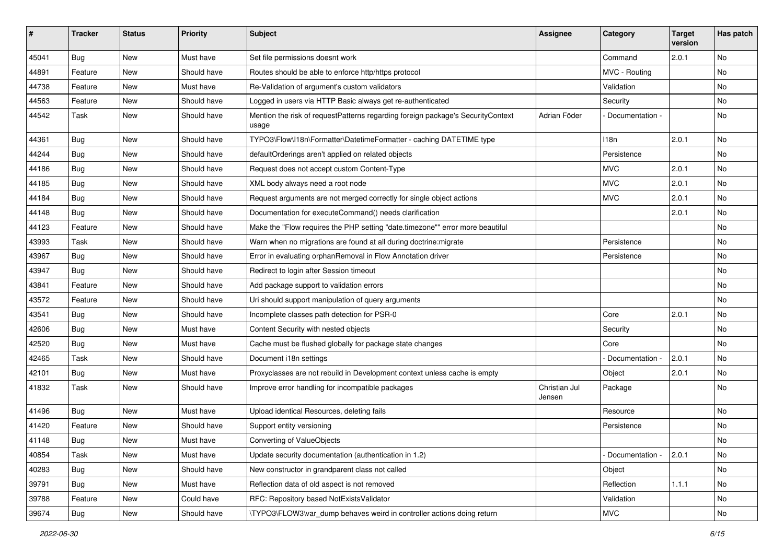| #     | <b>Tracker</b> | <b>Status</b> | <b>Priority</b> | <b>Subject</b>                                                                           | Assignee                | Category        | <b>Target</b><br>version | Has patch |
|-------|----------------|---------------|-----------------|------------------------------------------------------------------------------------------|-------------------------|-----------------|--------------------------|-----------|
| 45041 | <b>Bug</b>     | New           | Must have       | Set file permissions doesnt work                                                         |                         | Command         | 2.0.1                    | No        |
| 44891 | Feature        | New           | Should have     | Routes should be able to enforce http/https protocol                                     |                         | MVC - Routing   |                          | No        |
| 44738 | Feature        | New           | Must have       | Re-Validation of argument's custom validators                                            |                         | Validation      |                          | No        |
| 44563 | Feature        | New           | Should have     | Logged in users via HTTP Basic always get re-authenticated                               |                         | Security        |                          | No        |
| 44542 | Task           | New           | Should have     | Mention the risk of requestPatterns regarding foreign package's SecurityContext<br>usage | Adrian Föder            | Documentation - |                          | No        |
| 44361 | <b>Bug</b>     | New           | Should have     | TYPO3\Flow\I18n\Formatter\DatetimeFormatter - caching DATETIME type                      |                         | 118n            | 2.0.1                    | No        |
| 44244 | <b>Bug</b>     | New           | Should have     | defaultOrderings aren't applied on related objects                                       |                         | Persistence     |                          | <b>No</b> |
| 44186 | Bug            | New           | Should have     | Request does not accept custom Content-Type                                              |                         | <b>MVC</b>      | 2.0.1                    | No        |
| 44185 | <b>Bug</b>     | New           | Should have     | XML body always need a root node                                                         |                         | <b>MVC</b>      | 2.0.1                    | No        |
| 44184 | <b>Bug</b>     | New           | Should have     | Request arguments are not merged correctly for single object actions                     |                         | <b>MVC</b>      | 2.0.1                    | <b>No</b> |
| 44148 | <b>Bug</b>     | New           | Should have     | Documentation for executeCommand() needs clarification                                   |                         |                 | 2.0.1                    | No        |
| 44123 | Feature        | New           | Should have     | Make the "Flow requires the PHP setting "date.timezone"" error more beautiful            |                         |                 |                          | No        |
| 43993 | Task           | New           | Should have     | Warn when no migrations are found at all during doctrine: migrate                        |                         | Persistence     |                          | No        |
| 43967 | Bug            | New           | Should have     | Error in evaluating orphanRemoval in Flow Annotation driver                              |                         | Persistence     |                          | No        |
| 43947 | <b>Bug</b>     | New           | Should have     | Redirect to login after Session timeout                                                  |                         |                 |                          | No        |
| 43841 | Feature        | New           | Should have     | Add package support to validation errors                                                 |                         |                 |                          | No        |
| 43572 | Feature        | New           | Should have     | Uri should support manipulation of query arguments                                       |                         |                 |                          | No        |
| 43541 | Bug            | New           | Should have     | Incomplete classes path detection for PSR-0                                              |                         | Core            | 2.0.1                    | <b>No</b> |
| 42606 | <b>Bug</b>     | New           | Must have       | Content Security with nested objects                                                     |                         | Security        |                          | No        |
| 42520 | <b>Bug</b>     | New           | Must have       | Cache must be flushed globally for package state changes                                 |                         | Core            |                          | No        |
| 42465 | Task           | New           | Should have     | Document i18n settings                                                                   |                         | Documentation - | 2.0.1                    | <b>No</b> |
| 42101 | <b>Bug</b>     | New           | Must have       | Proxyclasses are not rebuild in Development context unless cache is empty                |                         | Object          | 2.0.1                    | No        |
| 41832 | Task           | New           | Should have     | Improve error handling for incompatible packages                                         | Christian Jul<br>Jensen | Package         |                          | No        |
| 41496 | <b>Bug</b>     | New           | Must have       | Upload identical Resources, deleting fails                                               |                         | Resource        |                          | No        |
| 41420 | Feature        | New           | Should have     | Support entity versioning                                                                |                         | Persistence     |                          | No        |
| 41148 | Bug            | New           | Must have       | Converting of ValueObjects                                                               |                         |                 |                          | No        |
| 40854 | Task           | New           | Must have       | Update security documentation (authentication in 1.2)                                    |                         | Documentation - | 2.0.1                    | No        |
| 40283 | Bug            | New           | Should have     | New constructor in grandparent class not called                                          |                         | Object          |                          | No        |
| 39791 | Bug            | New           | Must have       | Reflection data of old aspect is not removed                                             |                         | Reflection      | 1.1.1                    | No        |
| 39788 | Feature        | New           | Could have      | RFC: Repository based NotExistsValidator                                                 |                         | Validation      |                          | No        |
| 39674 | Bug            | New           | Should have     | \TYPO3\FLOW3\var_dump behaves weird in controller actions doing return                   |                         | <b>MVC</b>      |                          | No        |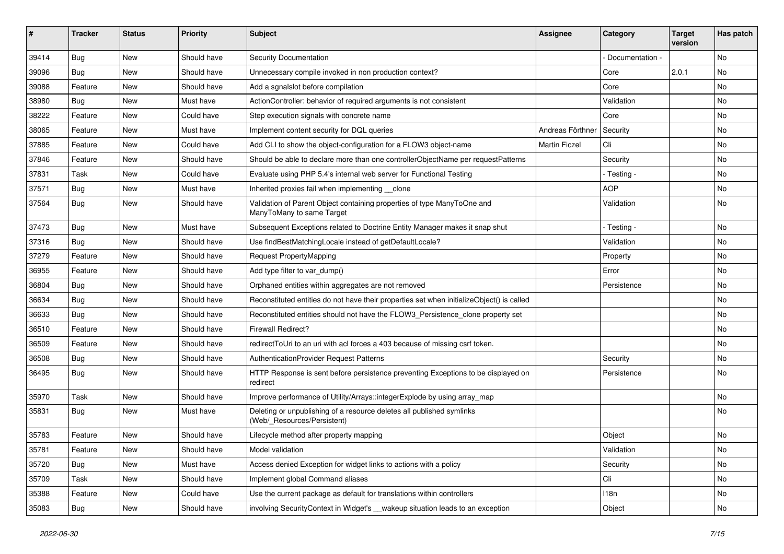| ∦     | <b>Tracker</b> | <b>Status</b> | <b>Priority</b> | <b>Subject</b>                                                                                       | <b>Assignee</b>      | Category        | <b>Target</b><br>version | Has patch |
|-------|----------------|---------------|-----------------|------------------------------------------------------------------------------------------------------|----------------------|-----------------|--------------------------|-----------|
| 39414 | Bug            | <b>New</b>    | Should have     | Security Documentation                                                                               |                      | Documentation - |                          | No        |
| 39096 | Bug            | <b>New</b>    | Should have     | Unnecessary compile invoked in non production context?                                               |                      | Core            | 2.0.1                    | No        |
| 39088 | Feature        | New           | Should have     | Add a sgnalslot before compilation                                                                   |                      | Core            |                          | No        |
| 38980 | <b>Bug</b>     | <b>New</b>    | Must have       | ActionController: behavior of required arguments is not consistent                                   |                      | Validation      |                          | No        |
| 38222 | Feature        | New           | Could have      | Step execution signals with concrete name                                                            |                      | Core            |                          | No        |
| 38065 | Feature        | <b>New</b>    | Must have       | Implement content security for DQL queries                                                           | Andreas Förthner     | Security        |                          | No        |
| 37885 | Feature        | New           | Could have      | Add CLI to show the object-configuration for a FLOW3 object-name                                     | <b>Martin Ficzel</b> | Cli             |                          | No        |
| 37846 | Feature        | New           | Should have     | Should be able to declare more than one controllerObjectName per requestPatterns                     |                      | Security        |                          | No        |
| 37831 | Task           | <b>New</b>    | Could have      | Evaluate using PHP 5.4's internal web server for Functional Testing                                  |                      | - Testing -     |                          | No        |
| 37571 | Bug            | New           | Must have       | Inherited proxies fail when implementing clone                                                       |                      | <b>AOP</b>      |                          | No        |
| 37564 | <b>Bug</b>     | New           | Should have     | Validation of Parent Object containing properties of type ManyToOne and<br>ManyToMany to same Target |                      | Validation      |                          | No        |
| 37473 | Bug            | New           | Must have       | Subsequent Exceptions related to Doctrine Entity Manager makes it snap shut                          |                      | - Testing -     |                          | No        |
| 37316 | Bug            | <b>New</b>    | Should have     | Use findBestMatchingLocale instead of getDefaultLocale?                                              |                      | Validation      |                          | No        |
| 37279 | Feature        | New           | Should have     | Request PropertyMapping                                                                              |                      | Property        |                          | No        |
| 36955 | Feature        | New           | Should have     | Add type filter to var dump()                                                                        |                      | Error           |                          | No        |
| 36804 | <b>Bug</b>     | <b>New</b>    | Should have     | Orphaned entities within aggregates are not removed                                                  |                      | Persistence     |                          | No        |
| 36634 | <b>Bug</b>     | New           | Should have     | Reconstituted entities do not have their properties set when initializeObject() is called            |                      |                 |                          | No        |
| 36633 | Bug            | New           | Should have     | Reconstituted entities should not have the FLOW3_Persistence_clone property set                      |                      |                 |                          | No        |
| 36510 | Feature        | New           | Should have     | <b>Firewall Redirect?</b>                                                                            |                      |                 |                          | No        |
| 36509 | Feature        | New           | Should have     | redirectToUri to an uri with acl forces a 403 because of missing csrf token.                         |                      |                 |                          | No        |
| 36508 | Bug            | New           | Should have     | AuthenticationProvider Request Patterns                                                              |                      | Security        |                          | No        |
| 36495 | <b>Bug</b>     | New           | Should have     | HTTP Response is sent before persistence preventing Exceptions to be displayed on<br>redirect        |                      | Persistence     |                          | No        |
| 35970 | Task           | <b>New</b>    | Should have     | Improve performance of Utility/Arrays::integerExplode by using array_map                             |                      |                 |                          | No        |
| 35831 | <b>Bug</b>     | New           | Must have       | Deleting or unpublishing of a resource deletes all published symlinks<br>(Web/_Resources/Persistent) |                      |                 |                          | No        |
| 35783 | Feature        | New           | Should have     | Lifecycle method after property mapping                                                              |                      | Object          |                          | No        |
| 35781 | Feature        | New           | Should have     | Model validation                                                                                     |                      | Validation      |                          | No        |
| 35720 | Bug            | New           | Must have       | Access denied Exception for widget links to actions with a policy                                    |                      | Security        |                          | No        |
| 35709 | Task           | New           | Should have     | Implement global Command aliases                                                                     |                      | Cli             |                          | No        |
| 35388 | Feature        | New           | Could have      | Use the current package as default for translations within controllers                               |                      | 118n            |                          | No        |
| 35083 | Bug            | New           | Should have     | involving SecurityContext in Widget's __wakeup situation leads to an exception                       |                      | Object          |                          | No        |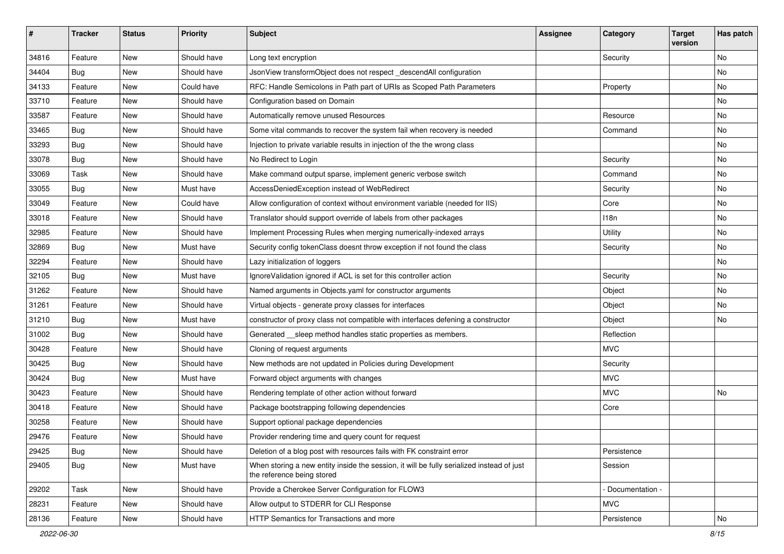| $\sharp$ | <b>Tracker</b> | <b>Status</b> | <b>Priority</b> | <b>Subject</b>                                                                                                          | <b>Assignee</b> | Category        | <b>Target</b><br>version | Has patch |
|----------|----------------|---------------|-----------------|-------------------------------------------------------------------------------------------------------------------------|-----------------|-----------------|--------------------------|-----------|
| 34816    | Feature        | <b>New</b>    | Should have     | Long text encryption                                                                                                    |                 | Security        |                          | No        |
| 34404    | Bug            | New           | Should have     | JsonView transformObject does not respect _descendAll configuration                                                     |                 |                 |                          | No        |
| 34133    | Feature        | New           | Could have      | RFC: Handle Semicolons in Path part of URIs as Scoped Path Parameters                                                   |                 | Property        |                          | No        |
| 33710    | Feature        | New           | Should have     | Configuration based on Domain                                                                                           |                 |                 |                          | No        |
| 33587    | Feature        | New           | Should have     | Automatically remove unused Resources                                                                                   |                 | Resource        |                          | No        |
| 33465    | Bug            | New           | Should have     | Some vital commands to recover the system fail when recovery is needed                                                  |                 | Command         |                          | No        |
| 33293    | Bug            | New           | Should have     | Injection to private variable results in injection of the the wrong class                                               |                 |                 |                          | No        |
| 33078    | Bug            | New           | Should have     | No Redirect to Login                                                                                                    |                 | Security        |                          | No        |
| 33069    | Task           | <b>New</b>    | Should have     | Make command output sparse, implement generic verbose switch                                                            |                 | Command         |                          | No        |
| 33055    | Bug            | New           | Must have       | AccessDeniedException instead of WebRedirect                                                                            |                 | Security        |                          | No        |
| 33049    | Feature        | New           | Could have      | Allow configuration of context without environment variable (needed for IIS)                                            |                 | Core            |                          | No        |
| 33018    | Feature        | New           | Should have     | Translator should support override of labels from other packages                                                        |                 | 118n            |                          | No        |
| 32985    | Feature        | New           | Should have     | Implement Processing Rules when merging numerically-indexed arrays                                                      |                 | Utility         |                          | No        |
| 32869    | Bug            | New           | Must have       | Security config tokenClass doesnt throw exception if not found the class                                                |                 | Security        |                          | No        |
| 32294    | Feature        | New           | Should have     | Lazy initialization of loggers                                                                                          |                 |                 |                          | No        |
| 32105    | Bug            | New           | Must have       | IgnoreValidation ignored if ACL is set for this controller action                                                       |                 | Security        |                          | No        |
| 31262    | Feature        | New           | Should have     | Named arguments in Objects.yaml for constructor arguments                                                               |                 | Object          |                          | No        |
| 31261    | Feature        | New           | Should have     | Virtual objects - generate proxy classes for interfaces                                                                 |                 | Object          |                          | No        |
| 31210    | Bug            | New           | Must have       | constructor of proxy class not compatible with interfaces defening a constructor                                        |                 | Object          |                          | No        |
| 31002    | Bug            | New           | Should have     | Generated __sleep method handles static properties as members.                                                          |                 | Reflection      |                          |           |
| 30428    | Feature        | New           | Should have     | Cloning of request arguments                                                                                            |                 | <b>MVC</b>      |                          |           |
| 30425    | Bug            | New           | Should have     | New methods are not updated in Policies during Development                                                              |                 | Security        |                          |           |
| 30424    | Bug            | New           | Must have       | Forward object arguments with changes                                                                                   |                 | <b>MVC</b>      |                          |           |
| 30423    | Feature        | New           | Should have     | Rendering template of other action without forward                                                                      |                 | <b>MVC</b>      |                          | No        |
| 30418    | Feature        | New           | Should have     | Package bootstrapping following dependencies                                                                            |                 | Core            |                          |           |
| 30258    | Feature        | New           | Should have     | Support optional package dependencies                                                                                   |                 |                 |                          |           |
| 29476    | Feature        | New           | Should have     | Provider rendering time and query count for request                                                                     |                 |                 |                          |           |
| 29425    | <b>Bug</b>     | New           | Should have     | Deletion of a blog post with resources fails with FK constraint error                                                   |                 | Persistence     |                          |           |
| 29405    | Bug            | New           | Must have       | When storing a new entity inside the session, it will be fully serialized instead of just<br>the reference being stored |                 | Session         |                          |           |
| 29202    | Task           | <b>New</b>    | Should have     | Provide a Cherokee Server Configuration for FLOW3                                                                       |                 | Documentation - |                          |           |
| 28231    | Feature        | New           | Should have     | Allow output to STDERR for CLI Response                                                                                 |                 | <b>MVC</b>      |                          |           |
| 28136    | Feature        | New           | Should have     | HTTP Semantics for Transactions and more                                                                                |                 | Persistence     |                          | No        |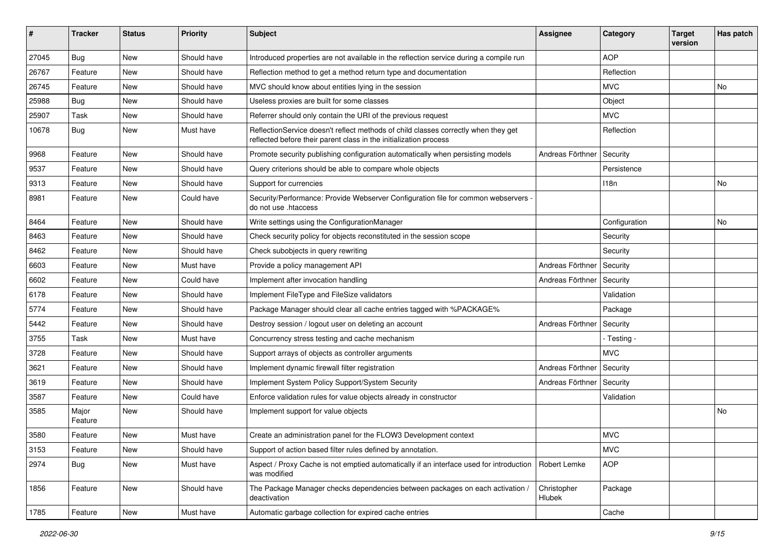| #     | <b>Tracker</b>   | <b>Status</b> | <b>Priority</b> | Subject                                                                                                                                                 | Assignee              | Category      | <b>Target</b><br>version | Has patch |
|-------|------------------|---------------|-----------------|---------------------------------------------------------------------------------------------------------------------------------------------------------|-----------------------|---------------|--------------------------|-----------|
| 27045 | Bug              | <b>New</b>    | Should have     | Introduced properties are not available in the reflection service during a compile run                                                                  |                       | <b>AOP</b>    |                          |           |
| 26767 | Feature          | New           | Should have     | Reflection method to get a method return type and documentation                                                                                         |                       | Reflection    |                          |           |
| 26745 | Feature          | <b>New</b>    | Should have     | MVC should know about entities lying in the session                                                                                                     |                       | <b>MVC</b>    |                          | No        |
| 25988 | Bug              | <b>New</b>    | Should have     | Useless proxies are built for some classes                                                                                                              |                       | Object        |                          |           |
| 25907 | Task             | New           | Should have     | Referrer should only contain the URI of the previous request                                                                                            |                       | <b>MVC</b>    |                          |           |
| 10678 | Bug              | <b>New</b>    | Must have       | ReflectionService doesn't reflect methods of child classes correctly when they get<br>reflected before their parent class in the initialization process |                       | Reflection    |                          |           |
| 9968  | Feature          | <b>New</b>    | Should have     | Promote security publishing configuration automatically when persisting models                                                                          | Andreas Förthner      | Security      |                          |           |
| 9537  | Feature          | <b>New</b>    | Should have     | Query criterions should be able to compare whole objects                                                                                                |                       | Persistence   |                          |           |
| 9313  | Feature          | New           | Should have     | Support for currencies                                                                                                                                  |                       | 118n          |                          | No        |
| 8981  | Feature          | <b>New</b>    | Could have      | Security/Performance: Provide Webserver Configuration file for common webservers -<br>do not use .htaccess                                              |                       |               |                          |           |
| 8464  | Feature          | New           | Should have     | Write settings using the ConfigurationManager                                                                                                           |                       | Configuration |                          | No        |
| 8463  | Feature          | <b>New</b>    | Should have     | Check security policy for objects reconstituted in the session scope                                                                                    |                       | Security      |                          |           |
| 8462  | Feature          | New           | Should have     | Check subobjects in query rewriting                                                                                                                     |                       | Security      |                          |           |
| 6603  | Feature          | <b>New</b>    | Must have       | Provide a policy management API                                                                                                                         | Andreas Förthner      | Security      |                          |           |
| 6602  | Feature          | <b>New</b>    | Could have      | Implement after invocation handling                                                                                                                     | Andreas Förthner      | Security      |                          |           |
| 6178  | Feature          | New           | Should have     | Implement FileType and FileSize validators                                                                                                              |                       | Validation    |                          |           |
| 5774  | Feature          | <b>New</b>    | Should have     | Package Manager should clear all cache entries tagged with %PACKAGE%                                                                                    |                       | Package       |                          |           |
| 5442  | Feature          | New           | Should have     | Destroy session / logout user on deleting an account                                                                                                    | Andreas Förthner      | Security      |                          |           |
| 3755  | Task             | <b>New</b>    | Must have       | Concurrency stress testing and cache mechanism                                                                                                          |                       | - Testing -   |                          |           |
| 3728  | Feature          | <b>New</b>    | Should have     | Support arrays of objects as controller arguments                                                                                                       |                       | <b>MVC</b>    |                          |           |
| 3621  | Feature          | New           | Should have     | Implement dynamic firewall filter registration                                                                                                          | Andreas Förthner      | Security      |                          |           |
| 3619  | Feature          | <b>New</b>    | Should have     | Implement System Policy Support/System Security                                                                                                         | Andreas Förthner      | Security      |                          |           |
| 3587  | Feature          | <b>New</b>    | Could have      | Enforce validation rules for value objects already in constructor                                                                                       |                       | Validation    |                          |           |
| 3585  | Major<br>Feature | New           | Should have     | Implement support for value objects                                                                                                                     |                       |               |                          | No        |
| 3580  | Feature          | <b>New</b>    | Must have       | Create an administration panel for the FLOW3 Development context                                                                                        |                       | <b>MVC</b>    |                          |           |
| 3153  | Feature          | New           | Should have     | Support of action based filter rules defined by annotation.                                                                                             |                       | <b>MVC</b>    |                          |           |
| 2974  | Bug              | New           | Must have       | Aspect / Proxy Cache is not emptied automatically if an interface used for introduction<br>was modified                                                 | Robert Lemke          | <b>AOP</b>    |                          |           |
| 1856  | Feature          | New           | Should have     | The Package Manager checks dependencies between packages on each activation /<br>deactivation                                                           | Christopher<br>Hlubek | Package       |                          |           |
| 1785  | Feature          | New           | Must have       | Automatic garbage collection for expired cache entries                                                                                                  |                       | Cache         |                          |           |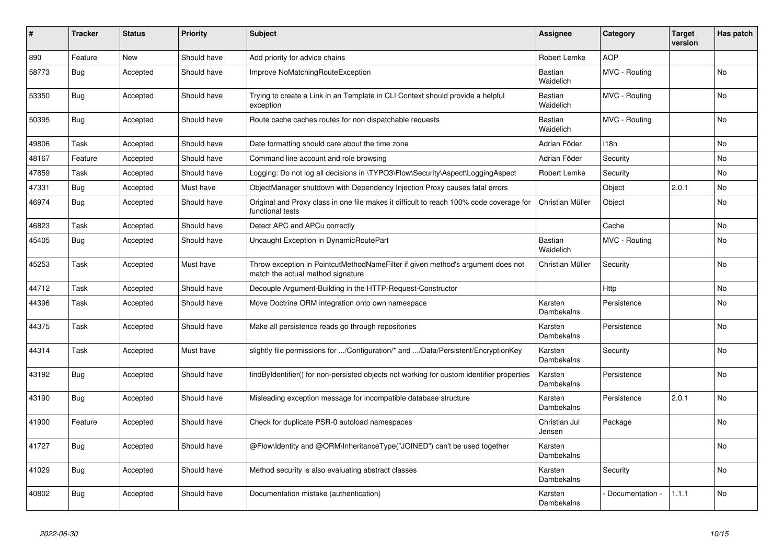| #     | Tracker    | <b>Status</b> | <b>Priority</b> | <b>Subject</b>                                                                                                       | <b>Assignee</b>             | Category         | <b>Target</b><br>version | Has patch |
|-------|------------|---------------|-----------------|----------------------------------------------------------------------------------------------------------------------|-----------------------------|------------------|--------------------------|-----------|
| 890   | Feature    | <b>New</b>    | Should have     | Add priority for advice chains                                                                                       | Robert Lemke                | <b>AOP</b>       |                          |           |
| 58773 | <b>Bug</b> | Accepted      | Should have     | Improve NoMatchingRouteException                                                                                     | <b>Bastian</b><br>Waidelich | MVC - Routing    |                          | <b>No</b> |
| 53350 | Bug        | Accepted      | Should have     | Trying to create a Link in an Template in CLI Context should provide a helpful<br>exception                          | Bastian<br>Waidelich        | MVC - Routing    |                          | <b>No</b> |
| 50395 | <b>Bug</b> | Accepted      | Should have     | Route cache caches routes for non dispatchable requests                                                              | Bastian<br>Waidelich        | MVC - Routing    |                          | No        |
| 49806 | Task       | Accepted      | Should have     | Date formatting should care about the time zone                                                                      | Adrian Föder                | 118 <sub>n</sub> |                          | No        |
| 48167 | Feature    | Accepted      | Should have     | Command line account and role browsing                                                                               | Adrian Föder                | Security         |                          | No        |
| 47859 | Task       | Accepted      | Should have     | Logging: Do not log all decisions in \TYPO3\Flow\Security\Aspect\LoggingAspect                                       | Robert Lemke                | Security         |                          | No        |
| 47331 | Bug        | Accepted      | Must have       | ObjectManager shutdown with Dependency Injection Proxy causes fatal errors                                           |                             | Object           | 2.0.1                    | No        |
| 46974 | Bug        | Accepted      | Should have     | Original and Proxy class in one file makes it difficult to reach 100% code coverage for<br>functional tests          | Christian Müller            | Object           |                          | No        |
| 46823 | Task       | Accepted      | Should have     | Detect APC and APCu correctly                                                                                        |                             | Cache            |                          | No        |
| 45405 | Bug        | Accepted      | Should have     | Uncaught Exception in DynamicRoutePart                                                                               | Bastian<br>Waidelich        | MVC - Routing    |                          | No        |
| 45253 | Task       | Accepted      | Must have       | Throw exception in PointcutMethodNameFilter if given method's argument does not<br>match the actual method signature | Christian Müller            | Security         |                          | No        |
| 44712 | Task       | Accepted      | Should have     | Decouple Argument-Building in the HTTP-Request-Constructor                                                           |                             | <b>Http</b>      |                          | No        |
| 44396 | Task       | Accepted      | Should have     | Move Doctrine ORM integration onto own namespace                                                                     | Karsten<br>Dambekalns       | Persistence      |                          | No        |
| 44375 | Task       | Accepted      | Should have     | Make all persistence reads go through repositories                                                                   | Karsten<br>Dambekalns       | Persistence      |                          | No        |
| 44314 | Task       | Accepted      | Must have       | slightly file permissions for /Configuration/* and /Data/Persistent/EncryptionKey                                    | Karsten<br>Dambekalns       | Security         |                          | No        |
| 43192 | Bug        | Accepted      | Should have     | findByIdentifier() for non-persisted objects not working for custom identifier properties                            | Karsten<br>Dambekalns       | Persistence      |                          | No.       |
| 43190 | <b>Bug</b> | Accepted      | Should have     | Misleading exception message for incompatible database structure                                                     | Karsten<br>Dambekalns       | Persistence      | 2.0.1                    | No        |
| 41900 | Feature    | Accepted      | Should have     | Check for duplicate PSR-0 autoload namespaces                                                                        | Christian Jul<br>Jensen     | Package          |                          | No        |
| 41727 | Bug        | Accepted      | Should have     | @Flow\Identity and @ORM\InheritanceType("JOINED") can't be used together                                             | Karsten<br>Dambekalns       |                  |                          | No        |
| 41029 | Bug        | Accepted      | Should have     | Method security is also evaluating abstract classes                                                                  | Karsten<br>Dambekalns       | Security         |                          | No.       |
| 40802 | Bug        | Accepted      | Should have     | Documentation mistake (authentication)                                                                               | Karsten<br>Dambekalns       | Documentation -  | 1.1.1                    | No        |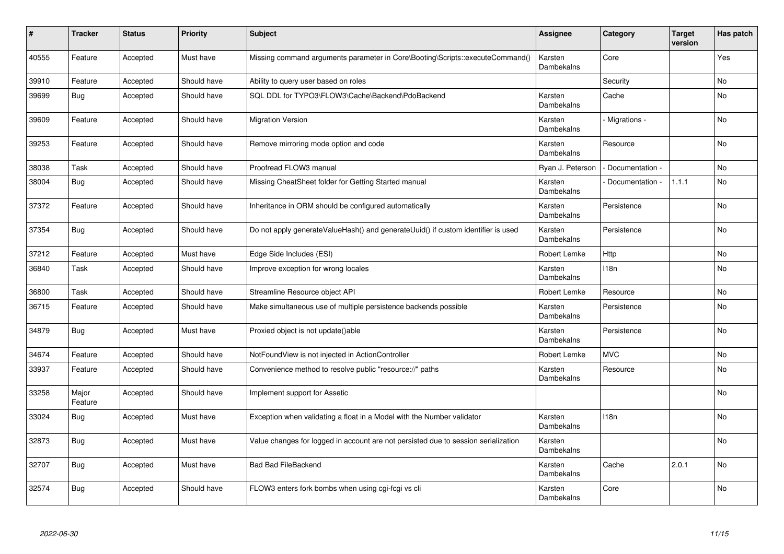| $\#$  | <b>Tracker</b>   | <b>Status</b> | <b>Priority</b> | <b>Subject</b>                                                                     | <b>Assignee</b>       | Category         | <b>Target</b><br>version | Has patch      |
|-------|------------------|---------------|-----------------|------------------------------------------------------------------------------------|-----------------------|------------------|--------------------------|----------------|
| 40555 | Feature          | Accepted      | Must have       | Missing command arguments parameter in Core\Booting\Scripts::executeCommand()      | Karsten<br>Dambekalns | Core             |                          | Yes            |
| 39910 | Feature          | Accepted      | Should have     | Ability to query user based on roles                                               |                       | Security         |                          | No             |
| 39699 | Bug              | Accepted      | Should have     | SQL DDL for TYPO3\FLOW3\Cache\Backend\PdoBackend                                   | Karsten<br>Dambekalns | Cache            |                          | No             |
| 39609 | Feature          | Accepted      | Should have     | <b>Migration Version</b>                                                           | Karsten<br>Dambekalns | Migrations -     |                          | No             |
| 39253 | Feature          | Accepted      | Should have     | Remove mirroring mode option and code                                              | Karsten<br>Dambekalns | Resource         |                          | No             |
| 38038 | Task             | Accepted      | Should have     | Proofread FLOW3 manual                                                             | Ryan J. Peterson      | Documentation -  |                          | No             |
| 38004 | Bug              | Accepted      | Should have     | Missing CheatSheet folder for Getting Started manual                               | Karsten<br>Dambekalns | Documentation -  | 1.1.1                    | No             |
| 37372 | Feature          | Accepted      | Should have     | Inheritance in ORM should be configured automatically                              | Karsten<br>Dambekalns | Persistence      |                          | <b>No</b>      |
| 37354 | Bug              | Accepted      | Should have     | Do not apply generateValueHash() and generateUuid() if custom identifier is used   | Karsten<br>Dambekalns | Persistence      |                          | <b>No</b>      |
| 37212 | Feature          | Accepted      | Must have       | Edge Side Includes (ESI)                                                           | Robert Lemke          | Http             |                          | No             |
| 36840 | Task             | Accepted      | Should have     | Improve exception for wrong locales                                                | Karsten<br>Dambekalns | 118n             |                          | <b>No</b>      |
| 36800 | Task             | Accepted      | Should have     | Streamline Resource object API                                                     | Robert Lemke          | Resource         |                          | No             |
| 36715 | Feature          | Accepted      | Should have     | Make simultaneous use of multiple persistence backends possible                    | Karsten<br>Dambekalns | Persistence      |                          | <b>No</b>      |
| 34879 | Bug              | Accepted      | Must have       | Proxied object is not update()able                                                 | Karsten<br>Dambekalns | Persistence      |                          | <b>No</b>      |
| 34674 | Feature          | Accepted      | Should have     | NotFoundView is not injected in ActionController                                   | Robert Lemke          | <b>MVC</b>       |                          | No             |
| 33937 | Feature          | Accepted      | Should have     | Convenience method to resolve public "resource://" paths                           | Karsten<br>Dambekalns | Resource         |                          | N <sub>o</sub> |
| 33258 | Major<br>Feature | Accepted      | Should have     | Implement support for Assetic                                                      |                       |                  |                          | No             |
| 33024 | Bug              | Accepted      | Must have       | Exception when validating a float in a Model with the Number validator             | Karsten<br>Dambekalns | 118 <sub>n</sub> |                          | No             |
| 32873 | <b>Bug</b>       | Accepted      | Must have       | Value changes for logged in account are not persisted due to session serialization | Karsten<br>Dambekalns |                  |                          | No             |
| 32707 | <b>Bug</b>       | Accepted      | Must have       | <b>Bad Bad FileBackend</b>                                                         | Karsten<br>Dambekalns | Cache            | 2.0.1                    | N <sub>o</sub> |
| 32574 | <b>Bug</b>       | Accepted      | Should have     | FLOW3 enters fork bombs when using cgi-fcgi vs cli                                 | Karsten<br>Dambekalns | Core             |                          | No.            |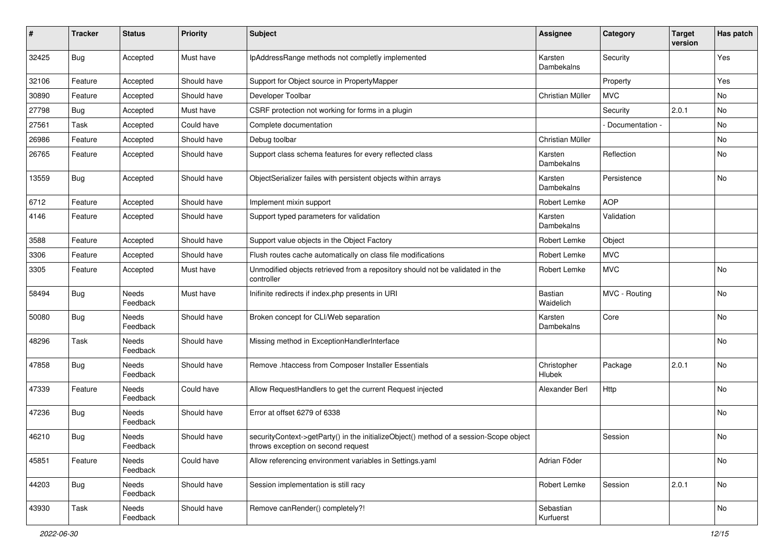| ∦     | <b>Tracker</b> | <b>Status</b>            | <b>Priority</b> | <b>Subject</b>                                                                                                               | Assignee                    | Category        | <b>Target</b><br>version | Has patch |
|-------|----------------|--------------------------|-----------------|------------------------------------------------------------------------------------------------------------------------------|-----------------------------|-----------------|--------------------------|-----------|
| 32425 | Bug            | Accepted                 | Must have       | IpAddressRange methods not completly implemented                                                                             | Karsten<br>Dambekalns       | Security        |                          | Yes       |
| 32106 | Feature        | Accepted                 | Should have     | Support for Object source in PropertyMapper                                                                                  |                             | Property        |                          | Yes       |
| 30890 | Feature        | Accepted                 | Should have     | Developer Toolbar                                                                                                            | Christian Müller            | <b>MVC</b>      |                          | No        |
| 27798 | Bug            | Accepted                 | Must have       | CSRF protection not working for forms in a plugin                                                                            |                             | Security        | 2.0.1                    | No        |
| 27561 | Task           | Accepted                 | Could have      | Complete documentation                                                                                                       |                             | Documentation - |                          | <b>No</b> |
| 26986 | Feature        | Accepted                 | Should have     | Debug toolbar                                                                                                                | Christian Müller            |                 |                          | No        |
| 26765 | Feature        | Accepted                 | Should have     | Support class schema features for every reflected class                                                                      | Karsten<br>Dambekalns       | Reflection      |                          | No        |
| 13559 | <b>Bug</b>     | Accepted                 | Should have     | ObjectSerializer failes with persistent objects within arrays                                                                | Karsten<br>Dambekalns       | Persistence     |                          | No        |
| 6712  | Feature        | Accepted                 | Should have     | Implement mixin support                                                                                                      | Robert Lemke                | <b>AOP</b>      |                          |           |
| 4146  | Feature        | Accepted                 | Should have     | Support typed parameters for validation                                                                                      | Karsten<br>Dambekalns       | Validation      |                          |           |
| 3588  | Feature        | Accepted                 | Should have     | Support value objects in the Object Factory                                                                                  | Robert Lemke                | Object          |                          |           |
| 3306  | Feature        | Accepted                 | Should have     | Flush routes cache automatically on class file modifications                                                                 | Robert Lemke                | <b>MVC</b>      |                          |           |
| 3305  | Feature        | Accepted                 | Must have       | Unmodified objects retrieved from a repository should not be validated in the<br>controller                                  | Robert Lemke                | <b>MVC</b>      |                          | No        |
| 58494 | <b>Bug</b>     | <b>Needs</b><br>Feedback | Must have       | Inifinite redirects if index.php presents in URI                                                                             | <b>Bastian</b><br>Waidelich | MVC - Routing   |                          | No        |
| 50080 | <b>Bug</b>     | Needs<br>Feedback        | Should have     | Broken concept for CLI/Web separation                                                                                        | Karsten<br>Dambekalns       | Core            |                          | No        |
| 48296 | Task           | Needs<br>Feedback        | Should have     | Missing method in ExceptionHandlerInterface                                                                                  |                             |                 |                          | <b>No</b> |
| 47858 | Bug            | <b>Needs</b><br>Feedback | Should have     | Remove .htaccess from Composer Installer Essentials                                                                          | Christopher<br>Hlubek       | Package         | 2.0.1                    | No        |
| 47339 | Feature        | Needs<br>Feedback        | Could have      | Allow RequestHandlers to get the current Request injected                                                                    | Alexander Berl              | Http            |                          | <b>No</b> |
| 47236 | Bug            | Needs<br>Feedback        | Should have     | Error at offset 6279 of 6338                                                                                                 |                             |                 |                          | No        |
| 46210 | <b>Bug</b>     | Needs<br>Feedback        | Should have     | securityContext->getParty() in the initializeObject() method of a session-Scope object<br>throws exception on second request |                             | Session         |                          | No        |
| 45851 | Feature        | Needs<br>Feedback        | Could have      | Allow referencing environment variables in Settings.yaml                                                                     | Adrian Föder                |                 |                          | No        |
| 44203 | <b>Bug</b>     | Needs<br>Feedback        | Should have     | Session implementation is still racy                                                                                         | Robert Lemke                | Session         | 2.0.1                    | No        |
| 43930 | Task           | Needs<br>Feedback        | Should have     | Remove canRender() completely?!                                                                                              | Sebastian<br>Kurfuerst      |                 |                          | No        |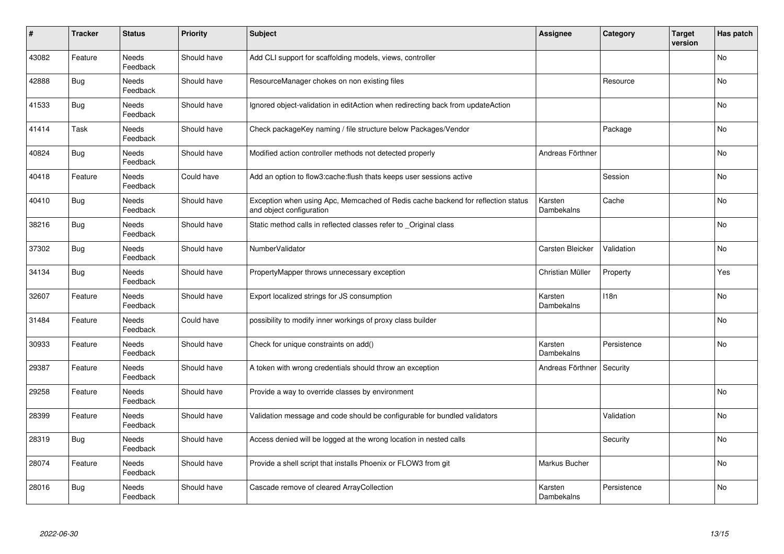| $\sharp$ | <b>Tracker</b> | <b>Status</b>            | Priority    | <b>Subject</b>                                                                                               | <b>Assignee</b>       | Category    | <b>Target</b><br>version | Has patch |
|----------|----------------|--------------------------|-------------|--------------------------------------------------------------------------------------------------------------|-----------------------|-------------|--------------------------|-----------|
| 43082    | Feature        | Needs<br>Feedback        | Should have | Add CLI support for scaffolding models, views, controller                                                    |                       |             |                          | <b>No</b> |
| 42888    | Bug            | Needs<br>Feedback        | Should have | ResourceManager chokes on non existing files                                                                 |                       | Resource    |                          | No        |
| 41533    | Bug            | Needs<br>Feedback        | Should have | Ignored object-validation in editAction when redirecting back from updateAction                              |                       |             |                          | <b>No</b> |
| 41414    | Task           | Needs<br>Feedback        | Should have | Check packageKey naming / file structure below Packages/Vendor                                               |                       | Package     |                          | <b>No</b> |
| 40824    | Bug            | <b>Needs</b><br>Feedback | Should have | Modified action controller methods not detected properly                                                     | Andreas Förthner      |             |                          | <b>No</b> |
| 40418    | Feature        | Needs<br>Feedback        | Could have  | Add an option to flow3: cache: flush thats keeps user sessions active                                        |                       | Session     |                          | No        |
| 40410    | Bug            | Needs<br>Feedback        | Should have | Exception when using Apc, Memcached of Redis cache backend for reflection status<br>and object configuration | Karsten<br>Dambekalns | Cache       |                          | No        |
| 38216    | Bug            | Needs<br>Feedback        | Should have | Static method calls in reflected classes refer to Original class                                             |                       |             |                          | No        |
| 37302    | Bug            | Needs<br>Feedback        | Should have | NumberValidator                                                                                              | Carsten Bleicker      | Validation  |                          | <b>No</b> |
| 34134    | Bug            | <b>Needs</b><br>Feedback | Should have | PropertyMapper throws unnecessary exception                                                                  | Christian Müller      | Property    |                          | Yes       |
| 32607    | Feature        | Needs<br>Feedback        | Should have | Export localized strings for JS consumption                                                                  | Karsten<br>Dambekalns | 118n        |                          | <b>No</b> |
| 31484    | Feature        | Needs<br>Feedback        | Could have  | possibility to modify inner workings of proxy class builder                                                  |                       |             |                          | <b>No</b> |
| 30933    | Feature        | <b>Needs</b><br>Feedback | Should have | Check for unique constraints on add()                                                                        | Karsten<br>Dambekalns | Persistence |                          | No        |
| 29387    | Feature        | Needs<br>Feedback        | Should have | A token with wrong credentials should throw an exception                                                     | Andreas Förthner      | Security    |                          |           |
| 29258    | Feature        | Needs<br>Feedback        | Should have | Provide a way to override classes by environment                                                             |                       |             |                          | No        |
| 28399    | Feature        | Needs<br>Feedback        | Should have | Validation message and code should be configurable for bundled validators                                    |                       | Validation  |                          | <b>No</b> |
| 28319    | Bug            | <b>Needs</b><br>Feedback | Should have | Access denied will be logged at the wrong location in nested calls                                           |                       | Security    |                          | <b>No</b> |
| 28074    | Feature        | Needs<br>Feedback        | Should have | Provide a shell script that installs Phoenix or FLOW3 from git                                               | Markus Bucher         |             |                          | <b>No</b> |
| 28016    | Bug            | Needs<br>Feedback        | Should have | Cascade remove of cleared ArrayCollection                                                                    | Karsten<br>Dambekalns | Persistence |                          | No        |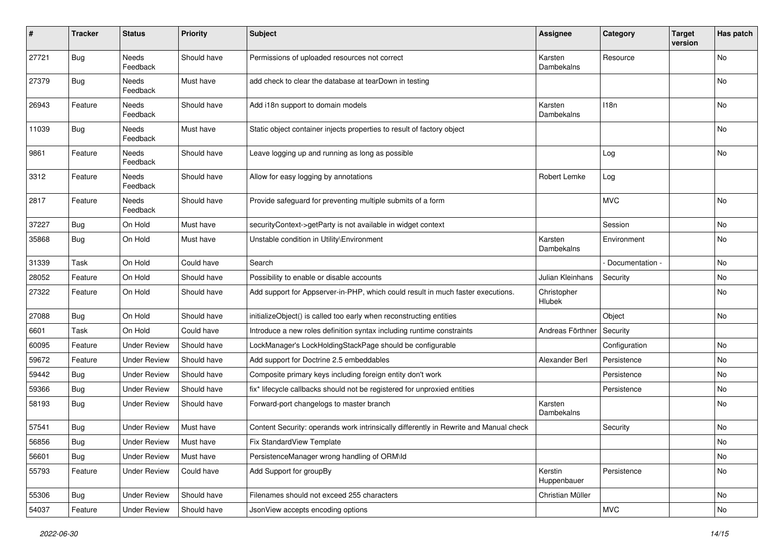| #     | <b>Tracker</b> | <b>Status</b>       | <b>Priority</b> | <b>Subject</b>                                                                        | <b>Assignee</b>        | Category        | <b>Target</b><br>version | Has patch |
|-------|----------------|---------------------|-----------------|---------------------------------------------------------------------------------------|------------------------|-----------------|--------------------------|-----------|
| 27721 | <b>Bug</b>     | Needs<br>Feedback   | Should have     | Permissions of uploaded resources not correct                                         | Karsten<br>Dambekalns  | Resource        |                          | No        |
| 27379 | Bug            | Needs<br>Feedback   | Must have       | add check to clear the database at tearDown in testing                                |                        |                 |                          | No        |
| 26943 | Feature        | Needs<br>Feedback   | Should have     | Add i18n support to domain models                                                     | Karsten<br>Dambekalns  | 118n            |                          | No        |
| 11039 | <b>Bug</b>     | Needs<br>Feedback   | Must have       | Static object container injects properties to result of factory object                |                        |                 |                          | No        |
| 9861  | Feature        | Needs<br>Feedback   | Should have     | Leave logging up and running as long as possible                                      |                        | Log             |                          | No        |
| 3312  | Feature        | Needs<br>Feedback   | Should have     | Allow for easy logging by annotations                                                 | Robert Lemke           | Log             |                          |           |
| 2817  | Feature        | Needs<br>Feedback   | Should have     | Provide safeguard for preventing multiple submits of a form                           |                        | <b>MVC</b>      |                          | No        |
| 37227 | <b>Bug</b>     | On Hold             | Must have       | securityContext->getParty is not available in widget context                          |                        | Session         |                          | No        |
| 35868 | <b>Bug</b>     | On Hold             | Must have       | Unstable condition in Utility\Environment                                             | Karsten<br>Dambekalns  | Environment     |                          | No        |
| 31339 | Task           | On Hold             | Could have      | Search                                                                                |                        | Documentation - |                          | No        |
| 28052 | Feature        | On Hold             | Should have     | Possibility to enable or disable accounts                                             | Julian Kleinhans       | Security        |                          | No        |
| 27322 | Feature        | On Hold             | Should have     | Add support for Appserver-in-PHP, which could result in much faster executions.       | Christopher<br>Hlubek  |                 |                          | No        |
| 27088 | <b>Bug</b>     | On Hold             | Should have     | initializeObject() is called too early when reconstructing entities                   |                        | Object          |                          | No        |
| 6601  | Task           | On Hold             | Could have      | Introduce a new roles definition syntax including runtime constraints                 | Andreas Förthner       | Security        |                          |           |
| 60095 | Feature        | <b>Under Review</b> | Should have     | LockManager's LockHoldingStackPage should be configurable                             |                        | Configuration   |                          | No        |
| 59672 | Feature        | <b>Under Review</b> | Should have     | Add support for Doctrine 2.5 embeddables                                              | Alexander Berl         | Persistence     |                          | No        |
| 59442 | <b>Bug</b>     | <b>Under Review</b> | Should have     | Composite primary keys including foreign entity don't work                            |                        | Persistence     |                          | No        |
| 59366 | Bug            | <b>Under Review</b> | Should have     | fix* lifecycle callbacks should not be registered for unproxied entities              |                        | Persistence     |                          | No        |
| 58193 | <b>Bug</b>     | <b>Under Review</b> | Should have     | Forward-port changelogs to master branch                                              | Karsten<br>Dambekalns  |                 |                          | No        |
| 57541 | <b>Bug</b>     | <b>Under Review</b> | Must have       | Content Security: operands work intrinsically differently in Rewrite and Manual check |                        | Security        |                          | No        |
| 56856 | Bug            | <b>Under Review</b> | Must have       | Fix StandardView Template                                                             |                        |                 |                          | No        |
| 56601 | <b>Bug</b>     | <b>Under Review</b> | Must have       | PersistenceManager wrong handling of ORM\ld                                           |                        |                 |                          | No        |
| 55793 | Feature        | <b>Under Review</b> | Could have      | Add Support for groupBy                                                               | Kerstin<br>Huppenbauer | Persistence     |                          | No        |
| 55306 | <b>Bug</b>     | <b>Under Review</b> | Should have     | Filenames should not exceed 255 characters                                            | Christian Müller       |                 |                          | No        |
| 54037 | Feature        | <b>Under Review</b> | Should have     | JsonView accepts encoding options                                                     |                        | <b>MVC</b>      |                          | No        |